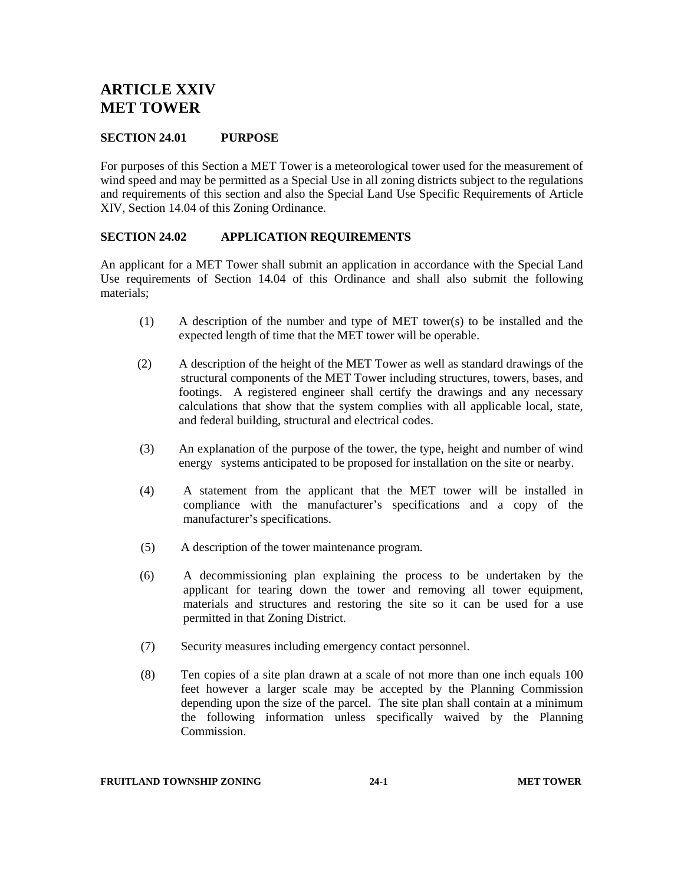# **ARTICLE XXIV MET TOWER**

# **SECTION 24.01 PURPOSE**

For purposes of this Section a MET Tower is a meteorological tower used for the measurement of wind speed and may be permitted as a Special Use in all zoning districts subject to the regulations and requirements of this section and also the Special Land Use Specific Requirements of Article XIV, Section 14.04 of this Zoning Ordinance.

# **SECTION 24.02 APPLICATION REQUIREMENTS**

An applicant for a MET Tower shall submit an application in accordance with the Special Land Use requirements of Section 14.04 of this Ordinance and shall also submit the following materials;

- (1) A description of the number and type of MET tower(s) to be installed and the expected length of time that the MET tower will be operable.
- (2) A description of the height of the MET Tower as well as standard drawings of the structural components of the MET Tower including structures, towers, bases, and footings. A registered engineer shall certify the drawings and any necessary calculations that show that the system complies with all applicable local, state, and federal building, structural and electrical codes.
- (3) An explanation of the purpose of the tower, the type, height and number of wind energy systems anticipated to be proposed for installation on the site or nearby.
- (4) A statement from the applicant that the MET tower will be installed in compliance with the manufacturer's specifications and a copy of the manufacturer's specifications.
- (5) A description of the tower maintenance program.
- (6) A decommissioning plan explaining the process to be undertaken by the applicant for tearing down the tower and removing all tower equipment, materials and structures and restoring the site so it can be used for a use permitted in that Zoning District.
- (7) Security measures including emergency contact personnel.
- (8) Ten copies of a site plan drawn at a scale of not more than one inch equals 100 feet however a larger scale may be accepted by the Planning Commission depending upon the size of the parcel. The site plan shall contain at a minimum the following information unless specifically waived by the Planning Commission.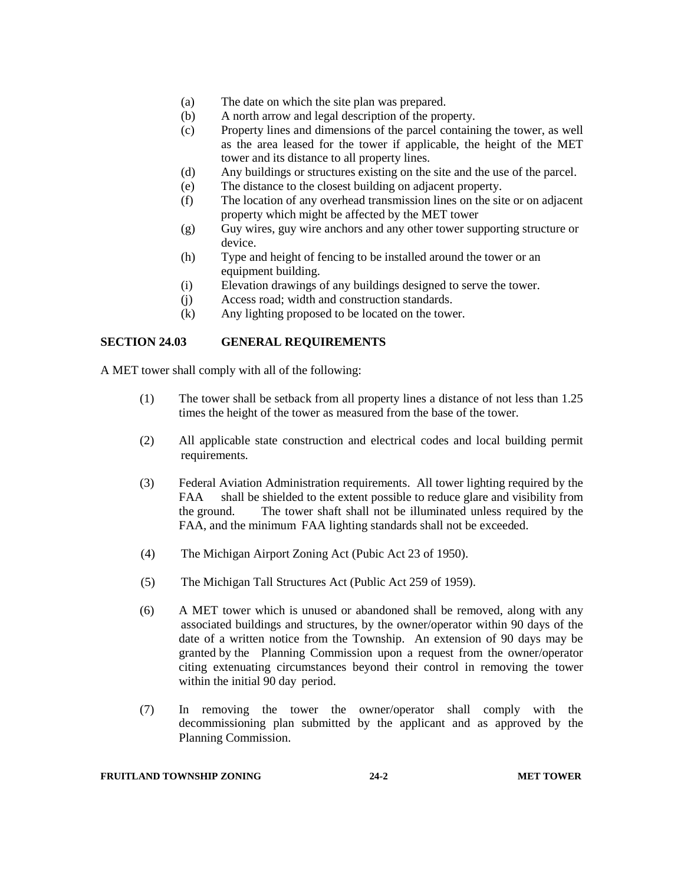- (a) The date on which the site plan was prepared.
- (b) A north arrow and legal description of the property.
- (c) Property lines and dimensions of the parcel containing the tower, as well as the area leased for the tower if applicable, the height of the MET tower and its distance to all property lines.
- (d) Any buildings or structures existing on the site and the use of the parcel.
- (e) The distance to the closest building on adjacent property.
- (f) The location of any overhead transmission lines on the site or on adjacent property which might be affected by the MET tower
- (g) Guy wires, guy wire anchors and any other tower supporting structure or device.
- (h) Type and height of fencing to be installed around the tower or an equipment building.
- (i) Elevation drawings of any buildings designed to serve the tower.
- (j) Access road; width and construction standards.
- (k) Any lighting proposed to be located on the tower.

## **SECTION 24.03 GENERAL REQUIREMENTS**

A MET tower shall comply with all of the following:

- (1) The tower shall be setback from all property lines a distance of not less than 1.25 times the height of the tower as measured from the base of the tower.
- (2) All applicable state construction and electrical codes and local building permit requirements.
- (3) Federal Aviation Administration requirements. All tower lighting required by the FAA shall be shielded to the extent possible to reduce glare and visibility from the ground. The tower shaft shall not be illuminated unless required by the FAA, and the minimum FAA lighting standards shall not be exceeded.
- (4) The Michigan Airport Zoning Act (Pubic Act 23 of 1950).
- (5) The Michigan Tall Structures Act (Public Act 259 of 1959).
- (6) A MET tower which is unused or abandoned shall be removed, along with any associated buildings and structures, by the owner/operator within 90 days of the date of a written notice from the Township. An extension of 90 days may be granted by the Planning Commission upon a request from the owner/operator citing extenuating circumstances beyond their control in removing the tower within the initial 90 day period.
- (7) In removing the tower the owner/operator shall comply with the decommissioning plan submitted by the applicant and as approved by the Planning Commission.

#### **FRUITLAND TOWNSHIP ZONING 24-2 MET TOWER**